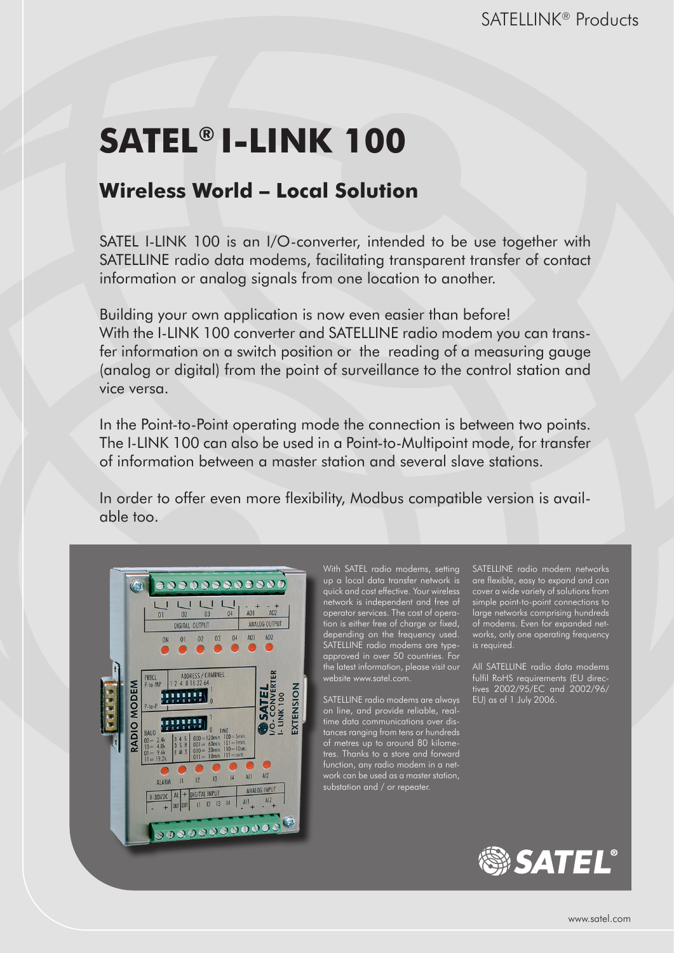# **SATEL® I-LINK 100**

# **Wireless World – Local Solution**

SATEL I-LINK 100 is an I/O-converter, intended to be use together with SATELLINE radio data modems, facilitating transparent transfer of contact information or analog signals from one location to another.

Building your own application is now even easier than before! With the I-LINK 100 converter and SATELLINE radio modem you can transfer information on a switch position or the reading of a measuring gauge (analog or digital) from the point of surveillance to the control station and vice versa.

In the Point-to-Point operating mode the connection is between two points. The I-LINK 100 can also be used in a Point-to-Multipoint mode, for transfer of information between a master station and several slave stations.

In order to offer even more flexibility, Modbus compatible version is available too.



With SATEL radio modems, setting up a local data transfer network is quick and cost effective. Your wireless network is independent and free of operator services. The cost of operation is either free of charge or fixed, depending on the frequency used. SATELLINE radio modems are typeapproved in over 50 countries. For the latest information, please visit our website www.satel.com.

SATELLINE radio modems are always on line, and provide reliable, realtime data communications over distances ranging from tens or hundreds of metres up to around 80 kilometres. Thanks to a store and forward substation and / or repeater.

SATELLINE radio modem networks are flexible, easy to expand and can cover a wide variety of solutions from simple point-to-point connections to large networks comprising hundreds of modems. Even for expanded networks, only one operating frequency is required.

All SATELLINE radio data modems fulfil RoHS requirements (EU directives 2002/95/EC and 2002/96/ EU) as of 1 July 2006.